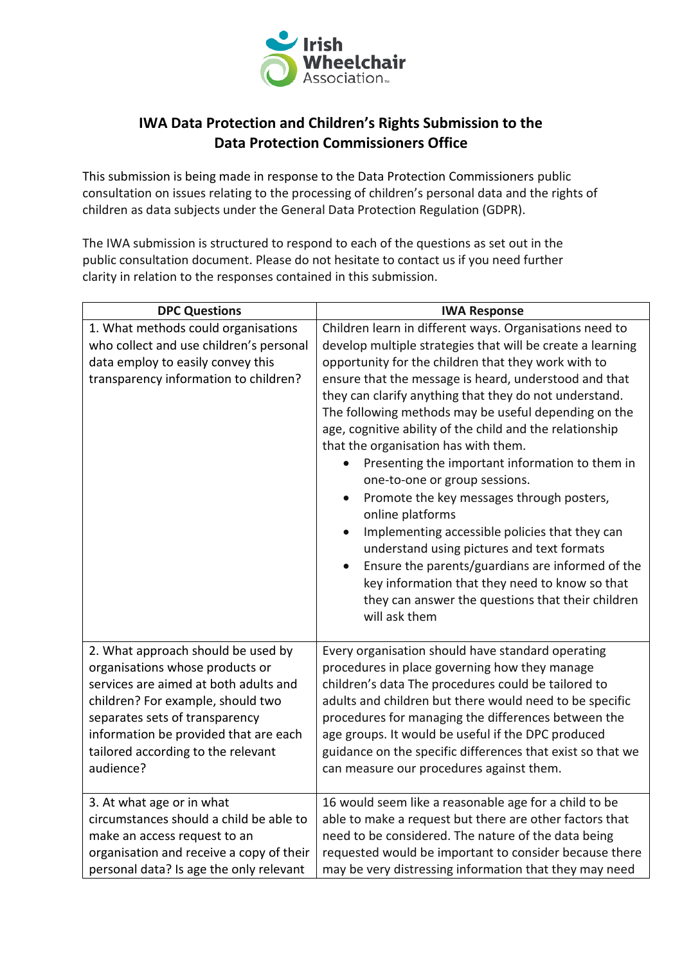

## **IWA Data Protection and Children's Rights Submission to the Data Protection Commissioners Office**

This submission is being made in response to the Data Protection Commissioners public consultation on issues relating to the processing of children's personal data and the rights of children as data subjects under the General Data Protection Regulation (GDPR).

The IWA submission is structured to respond to each of the questions as set out in the public consultation document. Please do not hesitate to contact us if you need further clarity in relation to the responses contained in this submission.

| <b>DPC Questions</b>                                                                                                                                         | <b>IWA Response</b>                                                                                                                                                                                                                                                                                                                                                                                                                                                                                                                                                                                                                                                                                                                                                                                                                                                                          |
|--------------------------------------------------------------------------------------------------------------------------------------------------------------|----------------------------------------------------------------------------------------------------------------------------------------------------------------------------------------------------------------------------------------------------------------------------------------------------------------------------------------------------------------------------------------------------------------------------------------------------------------------------------------------------------------------------------------------------------------------------------------------------------------------------------------------------------------------------------------------------------------------------------------------------------------------------------------------------------------------------------------------------------------------------------------------|
| 1. What methods could organisations<br>who collect and use children's personal<br>data employ to easily convey this<br>transparency information to children? | Children learn in different ways. Organisations need to<br>develop multiple strategies that will be create a learning<br>opportunity for the children that they work with to<br>ensure that the message is heard, understood and that<br>they can clarify anything that they do not understand.<br>The following methods may be useful depending on the<br>age, cognitive ability of the child and the relationship<br>that the organisation has with them.<br>Presenting the important information to them in<br>one-to-one or group sessions.<br>Promote the key messages through posters,<br>online platforms<br>Implementing accessible policies that they can<br>understand using pictures and text formats<br>Ensure the parents/guardians are informed of the<br>key information that they need to know so that<br>they can answer the questions that their children<br>will ask them |
| 2. What approach should be used by                                                                                                                           | Every organisation should have standard operating                                                                                                                                                                                                                                                                                                                                                                                                                                                                                                                                                                                                                                                                                                                                                                                                                                            |
| organisations whose products or                                                                                                                              | procedures in place governing how they manage                                                                                                                                                                                                                                                                                                                                                                                                                                                                                                                                                                                                                                                                                                                                                                                                                                                |
| services are aimed at both adults and                                                                                                                        | children's data The procedures could be tailored to                                                                                                                                                                                                                                                                                                                                                                                                                                                                                                                                                                                                                                                                                                                                                                                                                                          |
| children? For example, should two                                                                                                                            | adults and children but there would need to be specific                                                                                                                                                                                                                                                                                                                                                                                                                                                                                                                                                                                                                                                                                                                                                                                                                                      |
| separates sets of transparency                                                                                                                               | procedures for managing the differences between the                                                                                                                                                                                                                                                                                                                                                                                                                                                                                                                                                                                                                                                                                                                                                                                                                                          |
| information be provided that are each                                                                                                                        | age groups. It would be useful if the DPC produced                                                                                                                                                                                                                                                                                                                                                                                                                                                                                                                                                                                                                                                                                                                                                                                                                                           |
| tailored according to the relevant                                                                                                                           | guidance on the specific differences that exist so that we                                                                                                                                                                                                                                                                                                                                                                                                                                                                                                                                                                                                                                                                                                                                                                                                                                   |
| audience?                                                                                                                                                    | can measure our procedures against them.                                                                                                                                                                                                                                                                                                                                                                                                                                                                                                                                                                                                                                                                                                                                                                                                                                                     |
| 3. At what age or in what                                                                                                                                    | 16 would seem like a reasonable age for a child to be                                                                                                                                                                                                                                                                                                                                                                                                                                                                                                                                                                                                                                                                                                                                                                                                                                        |
| circumstances should a child be able to                                                                                                                      | able to make a request but there are other factors that                                                                                                                                                                                                                                                                                                                                                                                                                                                                                                                                                                                                                                                                                                                                                                                                                                      |
| make an access request to an                                                                                                                                 | need to be considered. The nature of the data being                                                                                                                                                                                                                                                                                                                                                                                                                                                                                                                                                                                                                                                                                                                                                                                                                                          |
| organisation and receive a copy of their                                                                                                                     | requested would be important to consider because there                                                                                                                                                                                                                                                                                                                                                                                                                                                                                                                                                                                                                                                                                                                                                                                                                                       |
| personal data? Is age the only relevant                                                                                                                      | may be very distressing information that they may need                                                                                                                                                                                                                                                                                                                                                                                                                                                                                                                                                                                                                                                                                                                                                                                                                                       |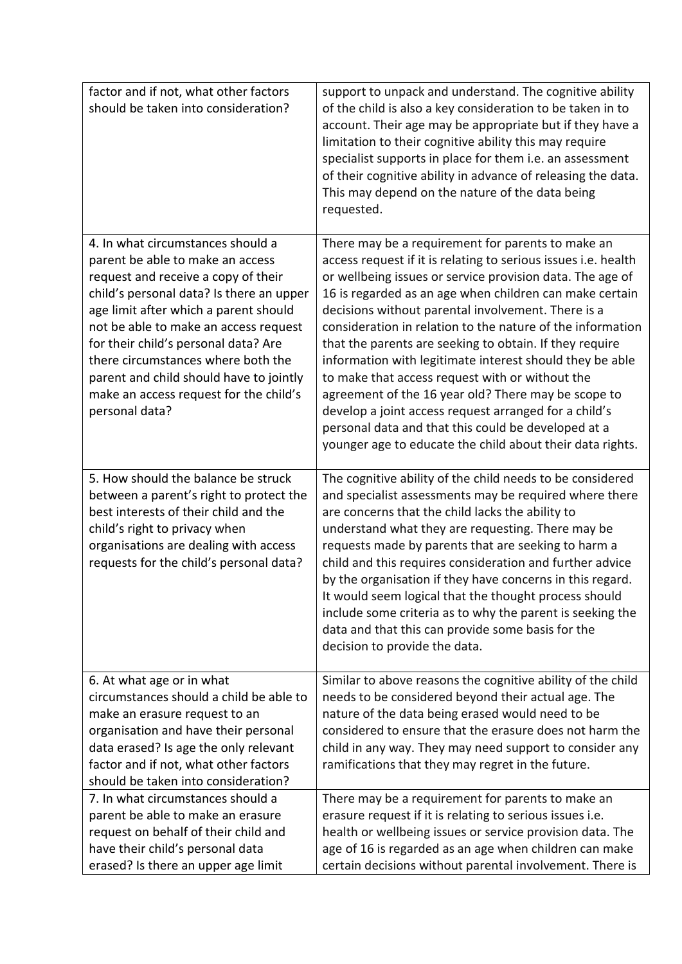| factor and if not, what other factors<br>should be taken into consideration?                                                                                                                                                                                                                                                                                                                                                    | support to unpack and understand. The cognitive ability<br>of the child is also a key consideration to be taken in to<br>account. Their age may be appropriate but if they have a<br>limitation to their cognitive ability this may require<br>specialist supports in place for them i.e. an assessment<br>of their cognitive ability in advance of releasing the data.<br>This may depend on the nature of the data being<br>requested.                                                                                                                                                                                                                                                                                                                                      |
|---------------------------------------------------------------------------------------------------------------------------------------------------------------------------------------------------------------------------------------------------------------------------------------------------------------------------------------------------------------------------------------------------------------------------------|-------------------------------------------------------------------------------------------------------------------------------------------------------------------------------------------------------------------------------------------------------------------------------------------------------------------------------------------------------------------------------------------------------------------------------------------------------------------------------------------------------------------------------------------------------------------------------------------------------------------------------------------------------------------------------------------------------------------------------------------------------------------------------|
| 4. In what circumstances should a<br>parent be able to make an access<br>request and receive a copy of their<br>child's personal data? Is there an upper<br>age limit after which a parent should<br>not be able to make an access request<br>for their child's personal data? Are<br>there circumstances where both the<br>parent and child should have to jointly<br>make an access request for the child's<br>personal data? | There may be a requirement for parents to make an<br>access request if it is relating to serious issues i.e. health<br>or wellbeing issues or service provision data. The age of<br>16 is regarded as an age when children can make certain<br>decisions without parental involvement. There is a<br>consideration in relation to the nature of the information<br>that the parents are seeking to obtain. If they require<br>information with legitimate interest should they be able<br>to make that access request with or without the<br>agreement of the 16 year old? There may be scope to<br>develop a joint access request arranged for a child's<br>personal data and that this could be developed at a<br>younger age to educate the child about their data rights. |
| 5. How should the balance be struck<br>between a parent's right to protect the<br>best interests of their child and the<br>child's right to privacy when<br>organisations are dealing with access<br>requests for the child's personal data?                                                                                                                                                                                    | The cognitive ability of the child needs to be considered<br>and specialist assessments may be required where there<br>are concerns that the child lacks the ability to<br>understand what they are requesting. There may be<br>requests made by parents that are seeking to harm a<br>child and this requires consideration and further advice<br>by the organisation if they have concerns in this regard.<br>It would seem logical that the thought process should<br>include some criteria as to why the parent is seeking the<br>data and that this can provide some basis for the<br>decision to provide the data.                                                                                                                                                      |
| 6. At what age or in what<br>circumstances should a child be able to<br>make an erasure request to an<br>organisation and have their personal<br>data erased? Is age the only relevant<br>factor and if not, what other factors<br>should be taken into consideration?                                                                                                                                                          | Similar to above reasons the cognitive ability of the child<br>needs to be considered beyond their actual age. The<br>nature of the data being erased would need to be<br>considered to ensure that the erasure does not harm the<br>child in any way. They may need support to consider any<br>ramifications that they may regret in the future.                                                                                                                                                                                                                                                                                                                                                                                                                             |
| 7. In what circumstances should a<br>parent be able to make an erasure<br>request on behalf of their child and<br>have their child's personal data<br>erased? Is there an upper age limit                                                                                                                                                                                                                                       | There may be a requirement for parents to make an<br>erasure request if it is relating to serious issues i.e.<br>health or wellbeing issues or service provision data. The<br>age of 16 is regarded as an age when children can make<br>certain decisions without parental involvement. There is                                                                                                                                                                                                                                                                                                                                                                                                                                                                              |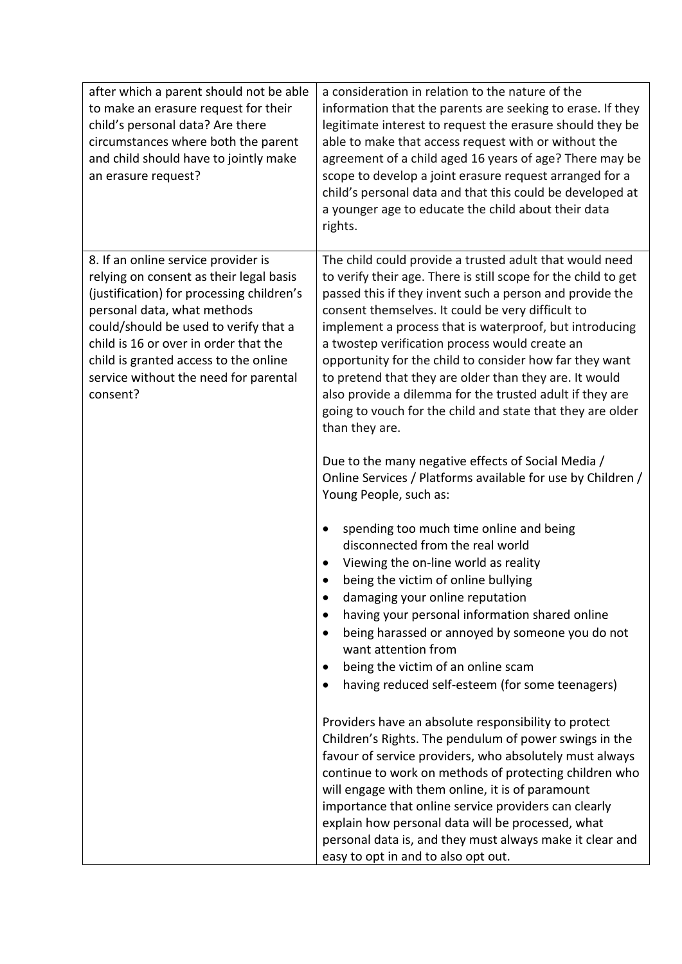| after which a parent should not be able<br>to make an erasure request for their<br>child's personal data? Are there<br>circumstances where both the parent<br>and child should have to jointly make<br>an erasure request?                                                                                                                 | a consideration in relation to the nature of the<br>information that the parents are seeking to erase. If they<br>legitimate interest to request the erasure should they be<br>able to make that access request with or without the<br>agreement of a child aged 16 years of age? There may be<br>scope to develop a joint erasure request arranged for a<br>child's personal data and that this could be developed at<br>a younger age to educate the child about their data<br>rights.                                                                                                                                                                                                                                                                                                                                                                                                                                                                                                                                                                                                                                                                                                                                                                                                                                                                                                                                                                                                                                                                                                                                                                                                                                                        |
|--------------------------------------------------------------------------------------------------------------------------------------------------------------------------------------------------------------------------------------------------------------------------------------------------------------------------------------------|-------------------------------------------------------------------------------------------------------------------------------------------------------------------------------------------------------------------------------------------------------------------------------------------------------------------------------------------------------------------------------------------------------------------------------------------------------------------------------------------------------------------------------------------------------------------------------------------------------------------------------------------------------------------------------------------------------------------------------------------------------------------------------------------------------------------------------------------------------------------------------------------------------------------------------------------------------------------------------------------------------------------------------------------------------------------------------------------------------------------------------------------------------------------------------------------------------------------------------------------------------------------------------------------------------------------------------------------------------------------------------------------------------------------------------------------------------------------------------------------------------------------------------------------------------------------------------------------------------------------------------------------------------------------------------------------------------------------------------------------------|
| 8. If an online service provider is<br>relying on consent as their legal basis<br>(justification) for processing children's<br>personal data, what methods<br>could/should be used to verify that a<br>child is 16 or over in order that the<br>child is granted access to the online<br>service without the need for parental<br>consent? | The child could provide a trusted adult that would need<br>to verify their age. There is still scope for the child to get<br>passed this if they invent such a person and provide the<br>consent themselves. It could be very difficult to<br>implement a process that is waterproof, but introducing<br>a twostep verification process would create an<br>opportunity for the child to consider how far they want<br>to pretend that they are older than they are. It would<br>also provide a dilemma for the trusted adult if they are<br>going to vouch for the child and state that they are older<br>than they are.<br>Due to the many negative effects of Social Media /<br>Online Services / Platforms available for use by Children /<br>Young People, such as:<br>spending too much time online and being<br>disconnected from the real world<br>Viewing the on-line world as reality<br>being the victim of online bullying<br>damaging your online reputation<br>having your personal information shared online<br>$\bullet$<br>being harassed or annoyed by someone you do not<br>want attention from<br>being the victim of an online scam<br>$\bullet$<br>having reduced self-esteem (for some teenagers)<br>$\bullet$<br>Providers have an absolute responsibility to protect<br>Children's Rights. The pendulum of power swings in the<br>favour of service providers, who absolutely must always<br>continue to work on methods of protecting children who<br>will engage with them online, it is of paramount<br>importance that online service providers can clearly<br>explain how personal data will be processed, what<br>personal data is, and they must always make it clear and<br>easy to opt in and to also opt out. |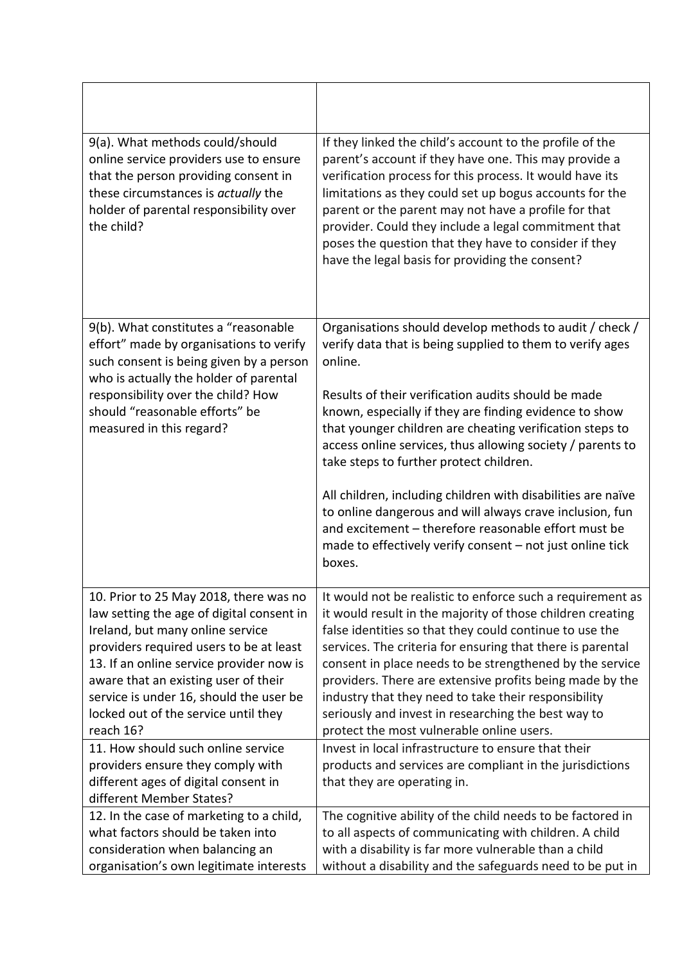| 9(a). What methods could/should<br>online service providers use to ensure<br>that the person providing consent in<br>these circumstances is actually the<br>holder of parental responsibility over<br>the child?                                                                                                                                       | If they linked the child's account to the profile of the<br>parent's account if they have one. This may provide a<br>verification process for this process. It would have its<br>limitations as they could set up bogus accounts for the<br>parent or the parent may not have a profile for that<br>provider. Could they include a legal commitment that<br>poses the question that they have to consider if they<br>have the legal basis for providing the consent?                                                                  |
|--------------------------------------------------------------------------------------------------------------------------------------------------------------------------------------------------------------------------------------------------------------------------------------------------------------------------------------------------------|---------------------------------------------------------------------------------------------------------------------------------------------------------------------------------------------------------------------------------------------------------------------------------------------------------------------------------------------------------------------------------------------------------------------------------------------------------------------------------------------------------------------------------------|
| 9(b). What constitutes a "reasonable<br>effort" made by organisations to verify<br>such consent is being given by a person                                                                                                                                                                                                                             | Organisations should develop methods to audit / check /<br>verify data that is being supplied to them to verify ages<br>online.                                                                                                                                                                                                                                                                                                                                                                                                       |
| who is actually the holder of parental<br>responsibility over the child? How<br>should "reasonable efforts" be<br>measured in this regard?                                                                                                                                                                                                             | Results of their verification audits should be made<br>known, especially if they are finding evidence to show<br>that younger children are cheating verification steps to<br>access online services, thus allowing society / parents to<br>take steps to further protect children.                                                                                                                                                                                                                                                    |
|                                                                                                                                                                                                                                                                                                                                                        | All children, including children with disabilities are naïve<br>to online dangerous and will always crave inclusion, fun<br>and excitement - therefore reasonable effort must be<br>made to effectively verify consent - not just online tick<br>boxes.                                                                                                                                                                                                                                                                               |
| 10. Prior to 25 May 2018, there was no<br>law setting the age of digital consent in<br>Ireland, but many online service<br>providers required users to be at least<br>13. If an online service provider now is<br>aware that an existing user of their<br>service is under 16, should the user be<br>locked out of the service until they<br>reach 16? | It would not be realistic to enforce such a requirement as<br>it would result in the majority of those children creating<br>false identities so that they could continue to use the<br>services. The criteria for ensuring that there is parental<br>consent in place needs to be strengthened by the service<br>providers. There are extensive profits being made by the<br>industry that they need to take their responsibility<br>seriously and invest in researching the best way to<br>protect the most vulnerable online users. |
| 11. How should such online service<br>providers ensure they comply with<br>different ages of digital consent in<br>different Member States?                                                                                                                                                                                                            | Invest in local infrastructure to ensure that their<br>products and services are compliant in the jurisdictions<br>that they are operating in.                                                                                                                                                                                                                                                                                                                                                                                        |
| 12. In the case of marketing to a child,<br>what factors should be taken into<br>consideration when balancing an<br>organisation's own legitimate interests                                                                                                                                                                                            | The cognitive ability of the child needs to be factored in<br>to all aspects of communicating with children. A child<br>with a disability is far more vulnerable than a child<br>without a disability and the safeguards need to be put in                                                                                                                                                                                                                                                                                            |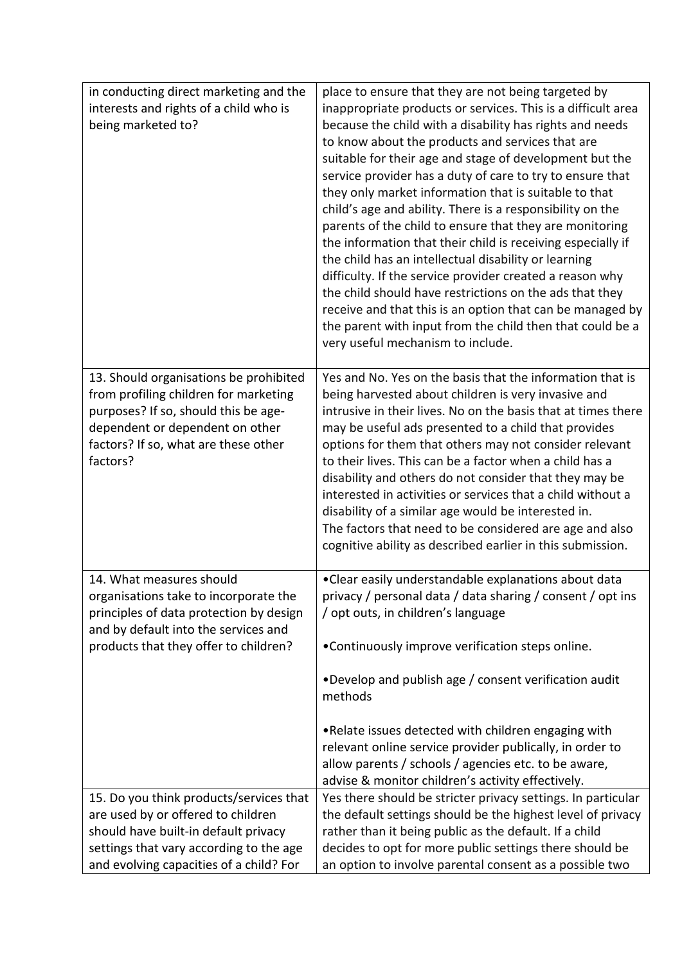| in conducting direct marketing and the<br>interests and rights of a child who is<br>being marketed to?                                                                                                         | place to ensure that they are not being targeted by<br>inappropriate products or services. This is a difficult area<br>because the child with a disability has rights and needs<br>to know about the products and services that are<br>suitable for their age and stage of development but the<br>service provider has a duty of care to try to ensure that<br>they only market information that is suitable to that<br>child's age and ability. There is a responsibility on the<br>parents of the child to ensure that they are monitoring<br>the information that their child is receiving especially if<br>the child has an intellectual disability or learning<br>difficulty. If the service provider created a reason why<br>the child should have restrictions on the ads that they<br>receive and that this is an option that can be managed by<br>the parent with input from the child then that could be a<br>very useful mechanism to include. |
|----------------------------------------------------------------------------------------------------------------------------------------------------------------------------------------------------------------|-----------------------------------------------------------------------------------------------------------------------------------------------------------------------------------------------------------------------------------------------------------------------------------------------------------------------------------------------------------------------------------------------------------------------------------------------------------------------------------------------------------------------------------------------------------------------------------------------------------------------------------------------------------------------------------------------------------------------------------------------------------------------------------------------------------------------------------------------------------------------------------------------------------------------------------------------------------|
| 13. Should organisations be prohibited<br>from profiling children for marketing<br>purposes? If so, should this be age-<br>dependent or dependent on other<br>factors? If so, what are these other<br>factors? | Yes and No. Yes on the basis that the information that is<br>being harvested about children is very invasive and<br>intrusive in their lives. No on the basis that at times there<br>may be useful ads presented to a child that provides<br>options for them that others may not consider relevant<br>to their lives. This can be a factor when a child has a<br>disability and others do not consider that they may be<br>interested in activities or services that a child without a<br>disability of a similar age would be interested in.<br>The factors that need to be considered are age and also<br>cognitive ability as described earlier in this submission.                                                                                                                                                                                                                                                                                   |
| 14. What measures should<br>organisations take to incorporate the<br>principles of data protection by design<br>and by default into the services and<br>products that they offer to children?                  | • Clear easily understandable explanations about data<br>privacy / personal data / data sharing / consent / opt ins<br>/ opt outs, in children's language<br>•Continuously improve verification steps online.<br>•Develop and publish age / consent verification audit<br>methods<br>. Relate issues detected with children engaging with<br>relevant online service provider publically, in order to<br>allow parents / schools / agencies etc. to be aware,<br>advise & monitor children's activity effectively.                                                                                                                                                                                                                                                                                                                                                                                                                                        |
| 15. Do you think products/services that<br>are used by or offered to children<br>should have built-in default privacy<br>settings that vary according to the age<br>and evolving capacities of a child? For    | Yes there should be stricter privacy settings. In particular<br>the default settings should be the highest level of privacy<br>rather than it being public as the default. If a child<br>decides to opt for more public settings there should be<br>an option to involve parental consent as a possible two                                                                                                                                                                                                                                                                                                                                                                                                                                                                                                                                                                                                                                               |